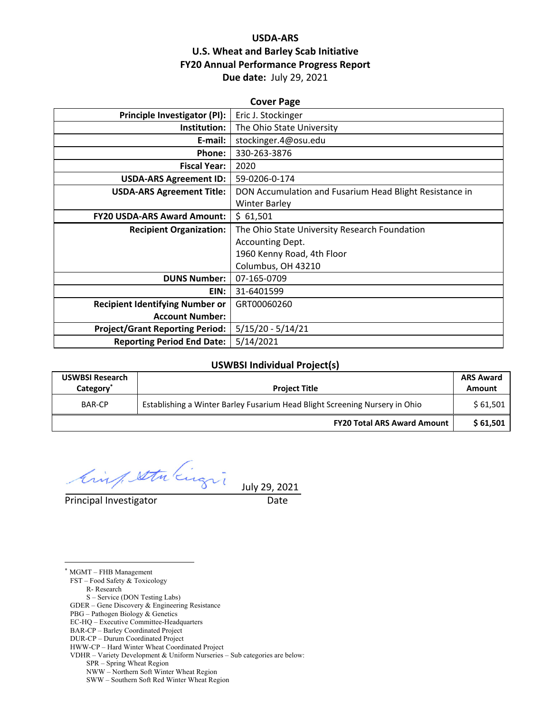## **USDA‐ARS U.S. Wheat and Barley Scab Initiative FY20 Annual Performance Progress Report Due date:** July 29, 2021

| <b>Cover Page</b>                      |                                                         |  |  |  |
|----------------------------------------|---------------------------------------------------------|--|--|--|
| Principle Investigator (PI):           | Eric J. Stockinger                                      |  |  |  |
| Institution:                           | The Ohio State University                               |  |  |  |
| E-mail:                                | stockinger.4@osu.edu                                    |  |  |  |
| Phone:                                 | 330-263-3876                                            |  |  |  |
| <b>Fiscal Year:</b>                    | 2020                                                    |  |  |  |
| <b>USDA-ARS Agreement ID:</b>          | 59-0206-0-174                                           |  |  |  |
| <b>USDA-ARS Agreement Title:</b>       | DON Accumulation and Fusarium Head Blight Resistance in |  |  |  |
|                                        | <b>Winter Barley</b>                                    |  |  |  |
| <b>FY20 USDA-ARS Award Amount:</b>     | \$61,501                                                |  |  |  |
| <b>Recipient Organization:</b>         | The Ohio State University Research Foundation           |  |  |  |
|                                        | Accounting Dept.                                        |  |  |  |
|                                        | 1960 Kenny Road, 4th Floor                              |  |  |  |
|                                        | Columbus, OH 43210                                      |  |  |  |
| <b>DUNS Number:</b>                    | 07-165-0709                                             |  |  |  |
| EIN:                                   | 31-6401599                                              |  |  |  |
| <b>Recipient Identifying Number or</b> | GRT00060260                                             |  |  |  |
| <b>Account Number:</b>                 |                                                         |  |  |  |
| <b>Project/Grant Reporting Period:</b> | $5/15/20 - 5/14/21$                                     |  |  |  |
| <b>Reporting Period End Date:</b>      | 5/14/2021                                               |  |  |  |

#### **USWBSI Individual Project(s)**

| <b>USWBSI Research</b><br>Category <sup>®</sup> | <b>Project Title</b>                                                        | <b>ARS Award</b><br>Amount |
|-------------------------------------------------|-----------------------------------------------------------------------------|----------------------------|
| <b>BAR-CP</b>                                   | Establishing a Winter Barley Fusarium Head Blight Screening Nursery in Ohio |                            |
|                                                 | <b>FY20 Total ARS Award Amount</b>                                          | \$61,501                   |

Cinq setu Engin

Principal Investigator **Date** 

 $\overline{a}$ 

July 29, 2021

FST – Food Safety & Toxicology R- Research S – Service (DON Testing Labs)

\* MGMT – FHB Management

GDER – Gene Discovery & Engineering Resistance

PBG – Pathogen Biology & Genetics

EC-HQ – Executive Committee-Headquarters

BAR-CP – Barley Coordinated Project

DUR-CP – Durum Coordinated Project

HWW-CP – Hard Winter Wheat Coordinated Project

VDHR – Variety Development & Uniform Nurseries – Sub categories are below:

SPR – Spring Wheat Region

NWW – Northern Soft Winter Wheat Region

SWW – Southern Soft Red Winter Wheat Region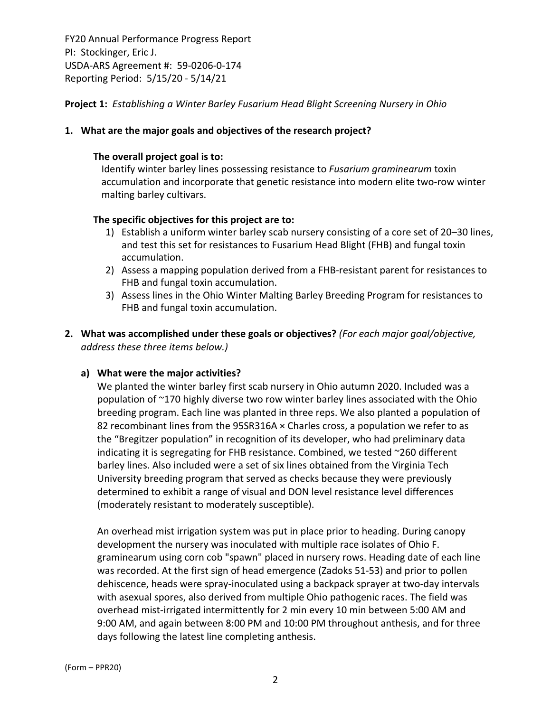**Project 1:** *Establishing a Winter Barley Fusarium Head Blight Screening Nursery in Ohio*

### **1. What are the major goals and objectives of the research project?**

#### **The overall project goal is to:**

Identify winter barley lines possessing resistance to *Fusarium graminearum* toxin accumulation and incorporate that genetic resistance into modern elite two‐row winter malting barley cultivars.

### **The specific objectives for this project are to:**

- 1) Establish a uniform winter barley scab nursery consisting of a core set of 20–30 lines, and test this set for resistances to Fusarium Head Blight (FHB) and fungal toxin accumulation.
- 2) Assess a mapping population derived from a FHB-resistant parent for resistances to FHB and fungal toxin accumulation.
- 3) Assess lines in the Ohio Winter Malting Barley Breeding Program for resistances to FHB and fungal toxin accumulation.
- **2. What was accomplished under these goals or objectives?** *(For each major goal/objective, address these three items below.)*

#### **a) What were the major activities?**

We planted the winter barley first scab nursery in Ohio autumn 2020. Included was a population of ~170 highly diverse two row winter barley lines associated with the Ohio breeding program. Each line was planted in three reps. We also planted a population of 82 recombinant lines from the  $95$ SR316A  $\times$  Charles cross, a population we refer to as the "Bregitzer population" in recognition of its developer, who had preliminary data indicating it is segregating for FHB resistance. Combined, we tested ~260 different barley lines. Also included were a set of six lines obtained from the Virginia Tech University breeding program that served as checks because they were previously determined to exhibit a range of visual and DON level resistance level differences (moderately resistant to moderately susceptible).

An overhead mist irrigation system was put in place prior to heading. During canopy development the nursery was inoculated with multiple race isolates of Ohio F. graminearum using corn cob "spawn" placed in nursery rows. Heading date of each line was recorded. At the first sign of head emergence (Zadoks 51‐53) and prior to pollen dehiscence, heads were spray‐inoculated using a backpack sprayer at two‐day intervals with asexual spores, also derived from multiple Ohio pathogenic races. The field was overhead mist‐irrigated intermittently for 2 min every 10 min between 5:00 AM and 9:00 AM, and again between 8:00 PM and 10:00 PM throughout anthesis, and for three days following the latest line completing anthesis.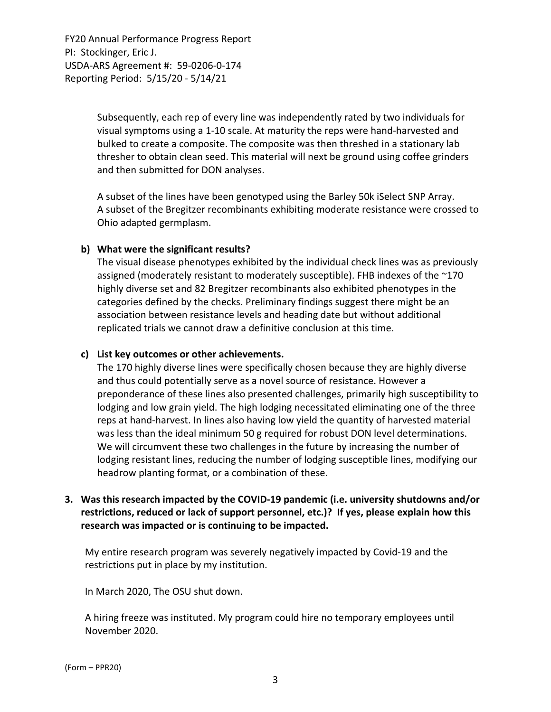> Subsequently, each rep of every line was independently rated by two individuals for visual symptoms using a 1‐10 scale. At maturity the reps were hand‐harvested and bulked to create a composite. The composite was then threshed in a stationary lab thresher to obtain clean seed. This material will next be ground using coffee grinders and then submitted for DON analyses.

A subset of the lines have been genotyped using the Barley 50k iSelect SNP Array. A subset of the Bregitzer recombinants exhibiting moderate resistance were crossed to Ohio adapted germplasm.

### **b) What were the significant results?**

The visual disease phenotypes exhibited by the individual check lines was as previously assigned (moderately resistant to moderately susceptible). FHB indexes of the ~170 highly diverse set and 82 Bregitzer recombinants also exhibited phenotypes in the categories defined by the checks. Preliminary findings suggest there might be an association between resistance levels and heading date but without additional replicated trials we cannot draw a definitive conclusion at this time.

#### **c) List key outcomes or other achievements.**

The 170 highly diverse lines were specifically chosen because they are highly diverse and thus could potentially serve as a novel source of resistance. However a preponderance of these lines also presented challenges, primarily high susceptibility to lodging and low grain yield. The high lodging necessitated eliminating one of the three reps at hand‐harvest. In lines also having low yield the quantity of harvested material was less than the ideal minimum 50 g required for robust DON level determinations. We will circumvent these two challenges in the future by increasing the number of lodging resistant lines, reducing the number of lodging susceptible lines, modifying our headrow planting format, or a combination of these.

## **3. Was this research impacted by the COVID‐19 pandemic (i.e. university shutdowns and/or restrictions, reduced or lack of support personnel, etc.)? If yes, please explain how this research was impacted or is continuing to be impacted.**

My entire research program was severely negatively impacted by Covid‐19 and the restrictions put in place by my institution.

In March 2020, The OSU shut down.

A hiring freeze was instituted. My program could hire no temporary employees until November 2020.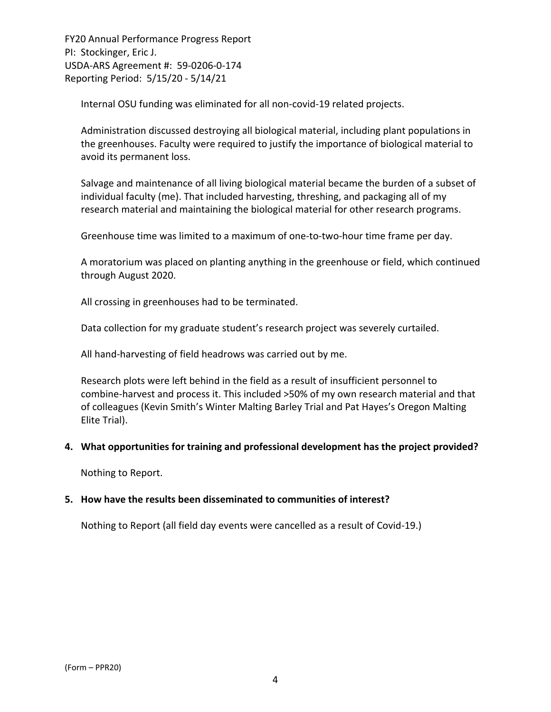Internal OSU funding was eliminated for all non‐covid‐19 related projects.

Administration discussed destroying all biological material, including plant populations in the greenhouses. Faculty were required to justify the importance of biological material to avoid its permanent loss.

Salvage and maintenance of all living biological material became the burden of a subset of individual faculty (me). That included harvesting, threshing, and packaging all of my research material and maintaining the biological material for other research programs.

Greenhouse time was limited to a maximum of one‐to‐two‐hour time frame per day.

A moratorium was placed on planting anything in the greenhouse or field, which continued through August 2020.

All crossing in greenhouses had to be terminated.

Data collection for my graduate student's research project was severely curtailed.

All hand‐harvesting of field headrows was carried out by me.

Research plots were left behind in the field as a result of insufficient personnel to combine‐harvest and process it. This included >50% of my own research material and that of colleagues (Kevin Smith's Winter Malting Barley Trial and Pat Hayes's Oregon Malting Elite Trial).

#### **4. What opportunities for training and professional development has the project provided?**

Nothing to Report.

#### **5. How have the results been disseminated to communities of interest?**

Nothing to Report (all field day events were cancelled as a result of Covid‐19.)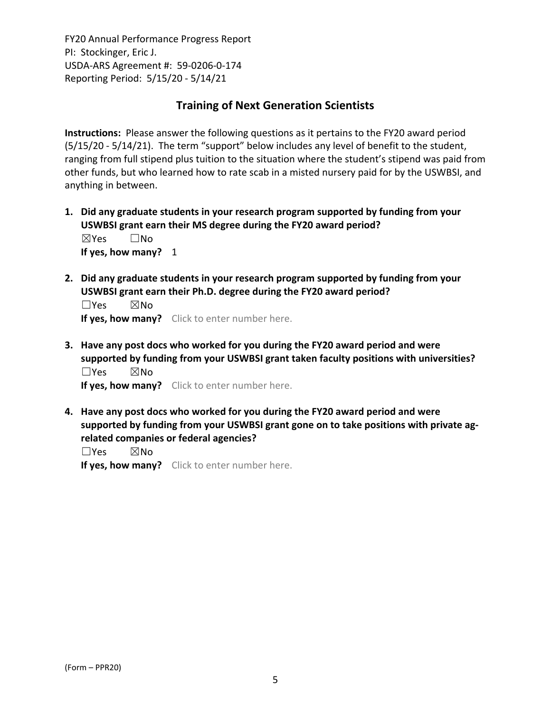## **Training of Next Generation Scientists**

**Instructions:** Please answer the following questions as it pertains to the FY20 award period (5/15/20 ‐ 5/14/21). The term "support" below includes any level of benefit to the student, ranging from full stipend plus tuition to the situation where the student's stipend was paid from other funds, but who learned how to rate scab in a misted nursery paid for by the USWBSI, and anything in between.

- **1. Did any graduate students in your research program supported by funding from your USWBSI grant earn their MS degree during the FY20 award period?** ☒Yes ☐No **If yes, how many?** 1
- **2. Did any graduate students in your research program supported by funding from your USWBSI grant earn their Ph.D. degree during the FY20 award period?**

 $\square$ Yes  $\square$ No **If yes, how many?** Click to enter number here.

**3. Have any post docs who worked for you during the FY20 award period and were supported by funding from your USWBSI grant taken faculty positions with universities?** ☐Yes ☒No

**If yes, how many?** Click to enter number here.

**4. Have any post docs who worked for you during the FY20 award period and were supported by funding from your USWBSI grant gone on to take positions with private ag‐ related companies or federal agencies?**

☐Yes ☒No

**If yes, how many?** Click to enter number here.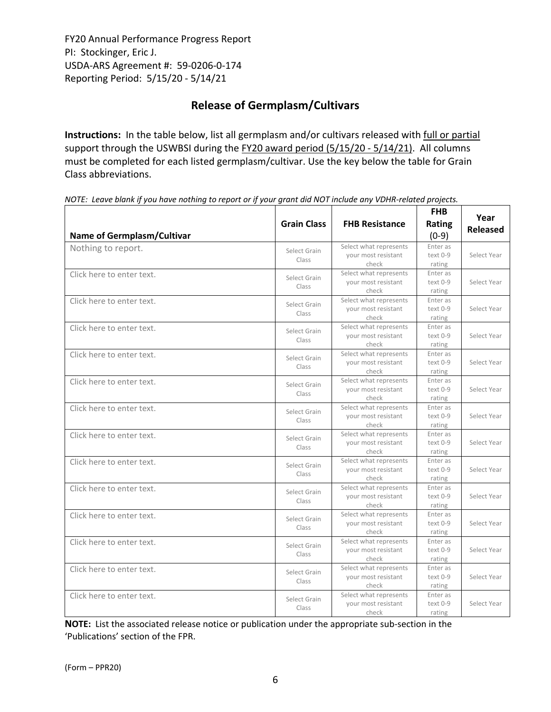# **Release of Germplasm/Cultivars**

**Instructions:** In the table below, list all germplasm and/or cultivars released with full or partial support through the USWBSI during the FY20 award period (5/15/20 - 5/14/21). All columns must be completed for each listed germplasm/cultivar. Use the key below the table for Grain Class abbreviations. 

| Name of Germplasm/Cultivar | <b>Grain Class</b>    | <b>FHB Resistance</b>                                  | <b>FHB</b><br>Rating<br>$(0-9)$  | Year<br><b>Released</b> |
|----------------------------|-----------------------|--------------------------------------------------------|----------------------------------|-------------------------|
| Nothing to report.         | Select Grain<br>Class | Select what represents<br>your most resistant<br>check | Enter as<br>$text 0-9$<br>rating | Select Year             |
| Click here to enter text.  | Select Grain<br>Class | Select what represents<br>your most resistant<br>check | Enter as<br>$text 0-9$<br>rating | Select Year             |
| Click here to enter text.  | Select Grain<br>Class | Select what represents<br>your most resistant<br>check | Enter as<br>text 0-9<br>rating   | Select Year             |
| Click here to enter text.  | Select Grain<br>Class | Select what represents<br>your most resistant<br>check | Enter as<br>text 0-9<br>rating   | Select Year             |
| Click here to enter text.  | Select Grain<br>Class | Select what represents<br>your most resistant<br>check | Enter as<br>text 0-9<br>rating   | Select Year             |
| Click here to enter text.  | Select Grain<br>Class | Select what represents<br>your most resistant<br>check | Enter as<br>$text 0-9$<br>rating | Select Year             |
| Click here to enter text.  | Select Grain<br>Class | Select what represents<br>your most resistant<br>check | Enter as<br>text 0-9<br>rating   | Select Year             |
| Click here to enter text.  | Select Grain<br>Class | Select what represents<br>your most resistant<br>check | Enter as<br>text 0-9<br>rating   | Select Year             |
| Click here to enter text.  | Select Grain<br>Class | Select what represents<br>your most resistant<br>check | Enter as<br>text 0-9<br>rating   | Select Year             |
| Click here to enter text.  | Select Grain<br>Class | Select what represents<br>your most resistant<br>check | Enter as<br>text 0-9<br>rating   | Select Year             |
| Click here to enter text.  | Select Grain<br>Class | Select what represents<br>your most resistant<br>check | Enter as<br>text 0-9<br>rating   | Select Year             |
| Click here to enter text.  | Select Grain<br>Class | Select what represents<br>your most resistant<br>check | Enter as<br>text 0-9<br>rating   | Select Year             |
| Click here to enter text.  | Select Grain<br>Class | Select what represents<br>your most resistant<br>check | Enter as<br>text 0-9<br>rating   | Select Year             |
| Click here to enter text.  | Select Grain<br>Class | Select what represents<br>your most resistant<br>check | Enter as<br>text 0-9<br>rating   | Select Year             |

NOTE: Leave blank if you have nothing to report or if your grant did NOT include any VDHR-related projects.

**NOTE:** List the associated release notice or publication under the appropriate sub-section in the 'Publications' section of the FPR.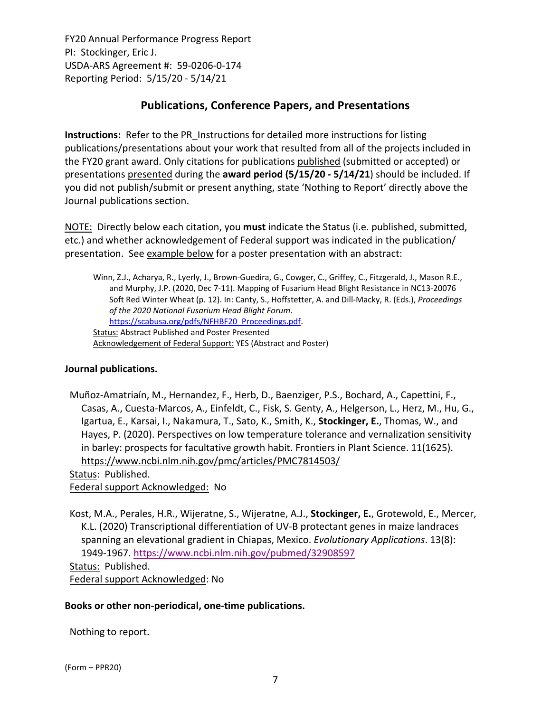## **Publications, Conference Papers, and Presentations**

**Instructions:** Refer to the PR\_Instructions for detailed more instructions for listing publications/presentations about your work that resulted from all of the projects included in the FY20 grant award. Only citations for publications published (submitted or accepted) or presentations presented during the **award period (5/15/20 ‐ 5/14/21**) should be included. If you did not publish/submit or present anything, state 'Nothing to Report' directly above the Journal publications section.

NOTE: Directly below each citation, you **must** indicate the Status (i.e. published, submitted, etc.) and whether acknowledgement of Federal support was indicated in the publication/ presentation. See example below for a poster presentation with an abstract:

Winn, Z.J., Acharya, R., Lyerly, J., Brown‐Guedira, G., Cowger, C., Griffey, C., Fitzgerald, J., Mason R.E., and Murphy, J.P. (2020, Dec 7‐11). Mapping of Fusarium Head Blight Resistance in NC13‐20076 Soft Red Winter Wheat (p. 12). In: Canty, S., Hoffstetter, A. and Dill‐Macky, R. (Eds.), *Proceedings of the 2020 National Fusarium Head Blight Forum*. https://scabusa.org/pdfs/NFHBF20\_Proceedings.pdf. Status: Abstract Published and Poster Presented Acknowledgement of Federal Support: YES (Abstract and Poster)

## **Journal publications.**

Muñoz‐Amatriaín, M., Hernandez, F., Herb, D., Baenziger, P.S., Bochard, A., Capettini, F., Casas, A., Cuesta‐Marcos, A., Einfeldt, C., Fisk, S. Genty, A., Helgerson, L., Herz, M., Hu, G., Igartua, E., Karsai, I., Nakamura, T., Sato, K., Smith, K., **Stockinger, E.**, Thomas, W., and Hayes, P. (2020). Perspectives on low temperature tolerance and vernalization sensitivity in barley: prospects for facultative growth habit. Frontiers in Plant Science. 11(1625). https://www.ncbi.nlm.nih.gov/pmc/articles/PMC7814503/

Status: Published.

Federal support Acknowledged: No

Kost, M.A., Perales, H.R., Wijeratne, S., Wijeratne, A.J., **Stockinger, E.**, Grotewold, E., Mercer, K.L. (2020) Transcriptional differentiation of UV‐B protectant genes in maize landraces spanning an elevational gradient in Chiapas, Mexico. *Evolutionary Applications*. 13(8): 1949‐1967. https://www.ncbi.nlm.nih.gov/pubmed/32908597 Status: Published. Federal support Acknowledged: No

#### **Books or other non‐periodical, one‐time publications.**

Nothing to report.

(Form – PPR20)